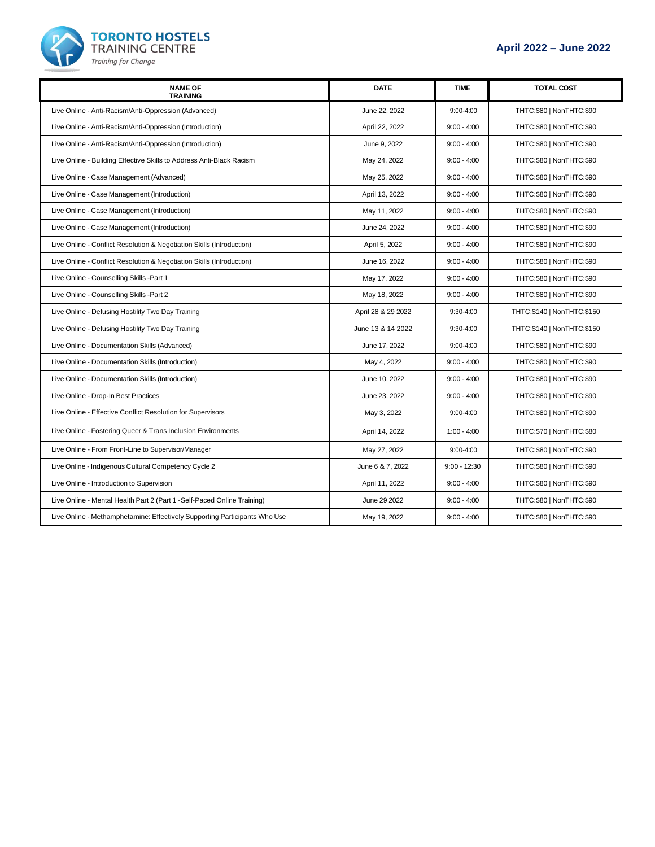

| <b>NAME OF</b><br><b>TRAINING</b>                                          | <b>DATE</b>        | <b>TIME</b>    | <b>TOTAL COST</b>            |
|----------------------------------------------------------------------------|--------------------|----------------|------------------------------|
| Live Online - Anti-Racism/Anti-Oppression (Advanced)                       | June 22, 2022      | $9:00 - 4:00$  | THTC:\$80   NonTHTC:\$90     |
| Live Online - Anti-Racism/Anti-Oppression (Introduction)                   | April 22, 2022     | $9:00 - 4:00$  | THTC:\$80   NonTHTC:\$90     |
| Live Online - Anti-Racism/Anti-Oppression (Introduction)                   | June 9, 2022       | $9:00 - 4:00$  | THTC:\$80   NonTHTC:\$90     |
| Live Online - Building Effective Skills to Address Anti-Black Racism       | May 24, 2022       | $9:00 - 4:00$  | THTC:\$80   NonTHTC:\$90     |
| Live Online - Case Management (Advanced)                                   | May 25, 2022       | $9:00 - 4:00$  | THTC:\$80   NonTHTC:\$90     |
| Live Online - Case Management (Introduction)                               | April 13, 2022     | $9:00 - 4:00$  | THTC:\$80   NonTHTC:\$90     |
| Live Online - Case Management (Introduction)                               | May 11, 2022       | $9:00 - 4:00$  | THTC:\$80   NonTHTC:\$90     |
| Live Online - Case Management (Introduction)                               | June 24, 2022      | $9:00 - 4:00$  | THTC:\$80   NonTHTC:\$90     |
| Live Online - Conflict Resolution & Negotiation Skills (Introduction)      | April 5, 2022      | $9:00 - 4:00$  | THTC:\$80   NonTHTC:\$90     |
| Live Online - Conflict Resolution & Negotiation Skills (Introduction)      | June 16, 2022      | $9:00 - 4:00$  | THTC:\$80   NonTHTC:\$90     |
| Live Online - Counselling Skills -Part 1                                   | May 17, 2022       | $9:00 - 4:00$  | THTC:\$80   NonTHTC:\$90     |
| Live Online - Counselling Skills -Part 2                                   | May 18, 2022       | $9:00 - 4:00$  | THTC:\$80   NonTHTC:\$90     |
| Live Online - Defusing Hostility Two Day Training                          | April 28 & 29 2022 | 9:30-4:00      | THTC: \$140   NonTHTC: \$150 |
| Live Online - Defusing Hostility Two Day Training                          | June 13 & 14 2022  | $9:30 - 4:00$  | THTC:\$140   NonTHTC:\$150   |
| Live Online - Documentation Skills (Advanced)                              | June 17, 2022      | $9:00 - 4:00$  | THTC:\$80   NonTHTC:\$90     |
| Live Online - Documentation Skills (Introduction)                          | May 4, 2022        | $9:00 - 4:00$  | THTC:\$80   NonTHTC:\$90     |
| Live Online - Documentation Skills (Introduction)                          | June 10, 2022      | $9:00 - 4:00$  | THTC:\$80   NonTHTC:\$90     |
| Live Online - Drop-In Best Practices                                       | June 23, 2022      | $9:00 - 4:00$  | THTC:\$80   NonTHTC:\$90     |
| Live Online - Effective Conflict Resolution for Supervisors                | May 3, 2022        | $9:00 - 4:00$  | THTC:\$80   NonTHTC:\$90     |
| Live Online - Fostering Queer & Trans Inclusion Environments               | April 14, 2022     | $1:00 - 4:00$  | THTC:\$70   NonTHTC:\$80     |
| Live Online - From Front-Line to Supervisor/Manager                        | May 27, 2022       | $9:00 - 4:00$  | THTC:\$80   NonTHTC:\$90     |
| Live Online - Indigenous Cultural Competency Cycle 2                       | June 6 & 7, 2022   | $9:00 - 12:30$ | THTC:\$80   NonTHTC:\$90     |
| Live Online - Introduction to Supervision                                  | April 11, 2022     | $9:00 - 4:00$  | THTC:\$80   NonTHTC:\$90     |
| Live Online - Mental Health Part 2 (Part 1 - Self-Paced Online Training)   | June 29 2022       | $9:00 - 4:00$  | THTC:\$80   NonTHTC:\$90     |
| Live Online - Methamphetamine: Effectively Supporting Participants Who Use | May 19, 2022       | $9:00 - 4:00$  | THTC:\$80   NonTHTC:\$90     |